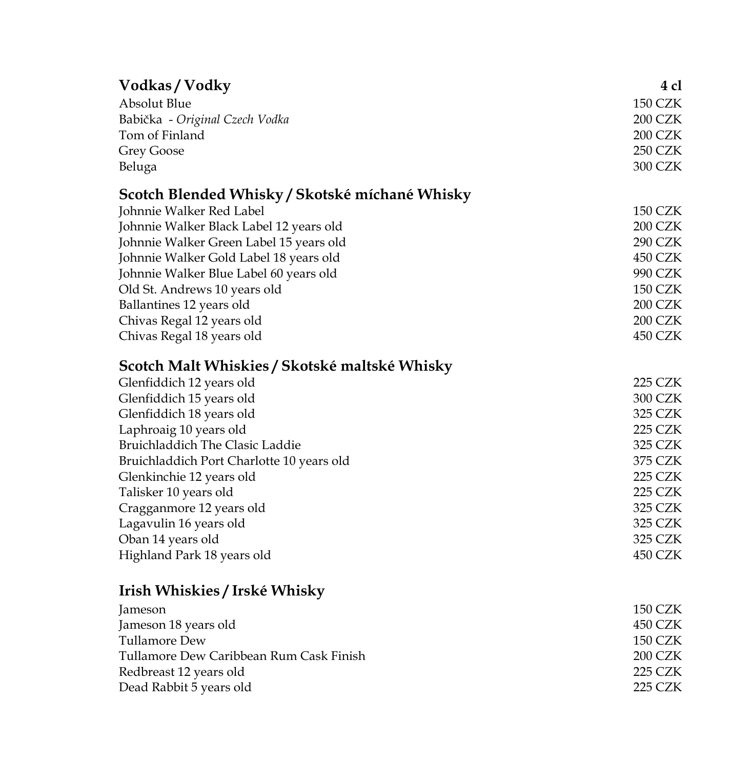| Vodkas/Vodky                                   | 4 cl           |
|------------------------------------------------|----------------|
| Absolut Blue                                   | <b>150 CZK</b> |
| Babička - Original Czech Vodka                 | <b>200 CZK</b> |
| Tom of Finland                                 | 200 CZK        |
| <b>Grey Goose</b>                              | <b>250 CZK</b> |
| Beluga                                         | 300 CZK        |
|                                                |                |
| Scotch Blended Whisky / Skotské míchané Whisky |                |
| Johnnie Walker Red Label                       | <b>150 CZK</b> |
| Johnnie Walker Black Label 12 years old        | 200 CZK        |
| Johnnie Walker Green Label 15 years old        | <b>290 CZK</b> |
| Johnnie Walker Gold Label 18 years old         | 450 CZK        |
| Johnnie Walker Blue Label 60 years old         | 990 CZK        |
| Old St. Andrews 10 years old                   | <b>150 CZK</b> |
| Ballantines 12 years old                       | 200 CZK        |
| Chivas Regal 12 years old                      | 200 CZK        |
| Chivas Regal 18 years old                      | 450 CZK        |
| Scotch Malt Whiskies / Skotské maltské Whisky  |                |
| Glenfiddich 12 years old                       | 225 CZK        |
| Glenfiddich 15 years old                       | 300 CZK        |
| Glenfiddich 18 years old                       | 325 CZK        |
| Laphroaig 10 years old                         | <b>225 CZK</b> |
| Bruichladdich The Clasic Laddie                | 325 CZK        |
| Bruichladdich Port Charlotte 10 years old      | 375 CZK        |
| Glenkinchie 12 years old                       | <b>225 CZK</b> |
| Talisker 10 years old                          | <b>225 CZK</b> |
| Cragganmore 12 years old                       | 325 CZK        |
| Lagavulin 16 years old                         | 325 CZK        |
| Oban 14 years old                              | 325 CZK        |
| Highland Park 18 years old                     | 450 CZK        |
|                                                |                |
| Irish Whiskies / Irské Whisky                  |                |
| Jameson                                        | <b>150 CZK</b> |
| Jameson 18 years old                           | 450 CZK        |
| Tullamore Dew                                  | <b>150 CZK</b> |
| Tullamore Dew Caribbean Rum Cask Finish        | 200 CZK        |
| Redbreast 12 years old                         | <b>225 CZK</b> |
| Dead Rabbit 5 years old                        | 225 CZK        |
|                                                |                |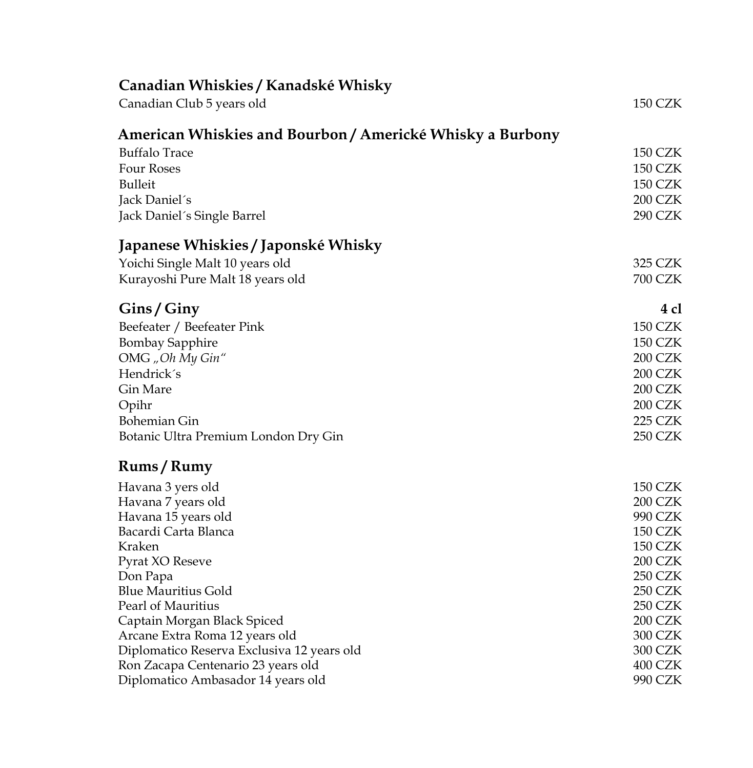| Canadian Whiskies / Kanadské Whisky                           |                                  |
|---------------------------------------------------------------|----------------------------------|
| Canadian Club 5 years old                                     | <b>150 CZK</b>                   |
| American Whiskies and Bourbon / Americké Whisky a Burbony     |                                  |
| <b>Buffalo Trace</b>                                          | <b>150 CZK</b>                   |
| <b>Four Roses</b>                                             | <b>150 CZK</b>                   |
| Bulleit                                                       | <b>150 CZK</b>                   |
| Jack Daniel's                                                 | <b>200 CZK</b>                   |
| Jack Daniel's Single Barrel                                   | <b>290 CZK</b>                   |
| Japanese Whiskies / Japonské Whisky                           |                                  |
| Yoichi Single Malt 10 years old                               | 325 CZK                          |
| Kurayoshi Pure Malt 18 years old                              | <b>700 CZK</b>                   |
| Gins/Giny                                                     | 4 cl                             |
| Beefeater / Beefeater Pink                                    | <b>150 CZK</b>                   |
| <b>Bombay Sapphire</b>                                        | <b>150 CZK</b>                   |
| OMG "Oh My Gin"                                               | 200 CZK                          |
| Hendrick's                                                    | 200 CZK                          |
| Gin Mare                                                      | 200 CZK                          |
| Opihr                                                         | 200 CZK                          |
| Bohemian Gin                                                  | <b>225 CZK</b>                   |
| Botanic Ultra Premium London Dry Gin                          | <b>250 CZK</b>                   |
| Rums/Rumy                                                     |                                  |
| Havana 3 yers old                                             | <b>150 CZK</b>                   |
| Havana 7 years old                                            | <b>200 CZK</b>                   |
| Havana 15 years old                                           | 990 CZK                          |
| Bacardi Carta Blanca                                          | 150 CZK                          |
| Kraken                                                        | <b>150 CZK</b>                   |
| Pyrat XO Reseve                                               | 200 CZK                          |
| Don Papa                                                      | <b>250 CZK</b>                   |
| <b>Blue Mauritius Gold</b>                                    | <b>250 CZK</b><br><b>250 CZK</b> |
| Pearl of Mauritius                                            | <b>200 CZK</b>                   |
| Captain Morgan Black Spiced<br>Arcane Extra Roma 12 years old | 300 CZK                          |
| Diplomatico Reserva Exclusiva 12 years old                    | 300 CZK                          |
| Ron Zacapa Centenario 23 years old                            | 400 CZK                          |
| Diplomatico Ambasador 14 years old                            | 990 CZK                          |
|                                                               |                                  |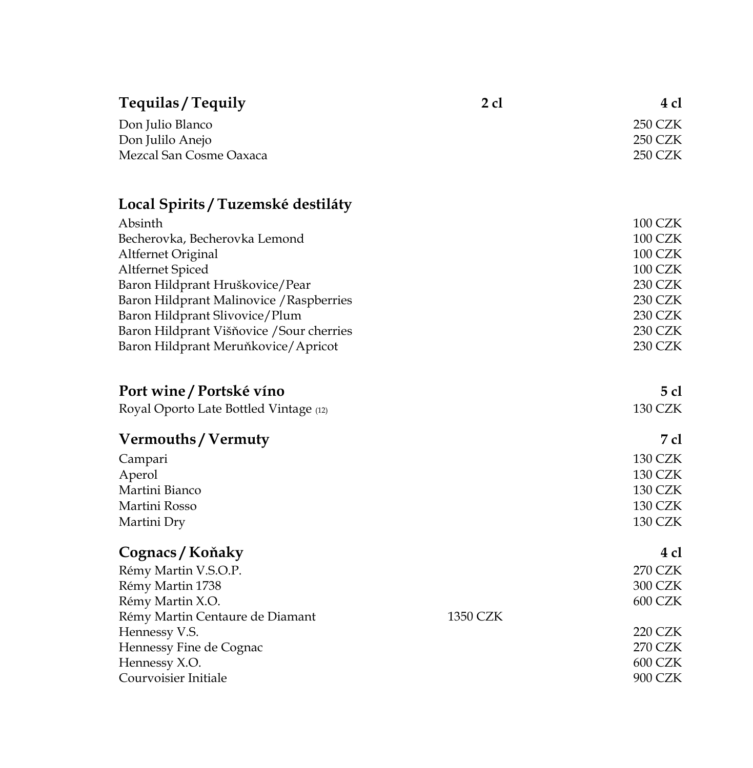| Don Julio Blanco                                 | <b>250 CZK</b> |
|--------------------------------------------------|----------------|
| Don Julilo Anejo                                 | <b>250 CZK</b> |
| Mezcal San Cosme Oaxaca                          | <b>250 CZK</b> |
|                                                  |                |
| Local Spirits / Tuzemské destiláty               |                |
| Absinth                                          | 100 CZK        |
| Becherovka, Becherovka Lemond                    | 100 CZK        |
| Altfernet Original                               | <b>100 CZK</b> |
| Altfernet Spiced                                 | <b>100 CZK</b> |
| Baron Hildprant Hruškovice/Pear                  | 230 CZK        |
| Baron Hildprant Malinovice / Raspberries         | 230 CZK        |
| Baron Hildprant Slivovice/Plum                   | 230 CZK        |
| Baron Hildprant Višňovice / Sour cherries        | 230 CZK        |
| Baron Hildprant Meruňkovice/Apricot              | <b>230 CZK</b> |
|                                                  |                |
| Port wine / Portské víno                         | 5 cl           |
| Royal Oporto Late Bottled Vintage (12)           | <b>130 CZK</b> |
| Vermouths / Vermuty                              | 7 cl           |
| Campari                                          | <b>130 CZK</b> |
| Aperol                                           | <b>130 CZK</b> |
| Martini Bianco                                   | <b>130 CZK</b> |
| Martini Rosso                                    | <b>130 CZK</b> |
| Martini Dry                                      | <b>130 CZK</b> |
|                                                  |                |
| Cognacs / Koňaky                                 | 4 cl           |
| Rémy Martin V.S.O.P.                             | <b>270 CZK</b> |
| Rémy Martin 1738                                 | 300 CZK        |
| Rémy Martin X.O.<br>1350 CZK                     | <b>600 CZK</b> |
| Rémy Martin Centaure de Diamant<br>Hennessy V.S. | <b>220 CZK</b> |
| Hennessy Fine de Cognac                          | 270 CZK        |
| Hennessy X.O.                                    | 600 CZK        |
| Courvoisier Initiale                             | 900 CZK        |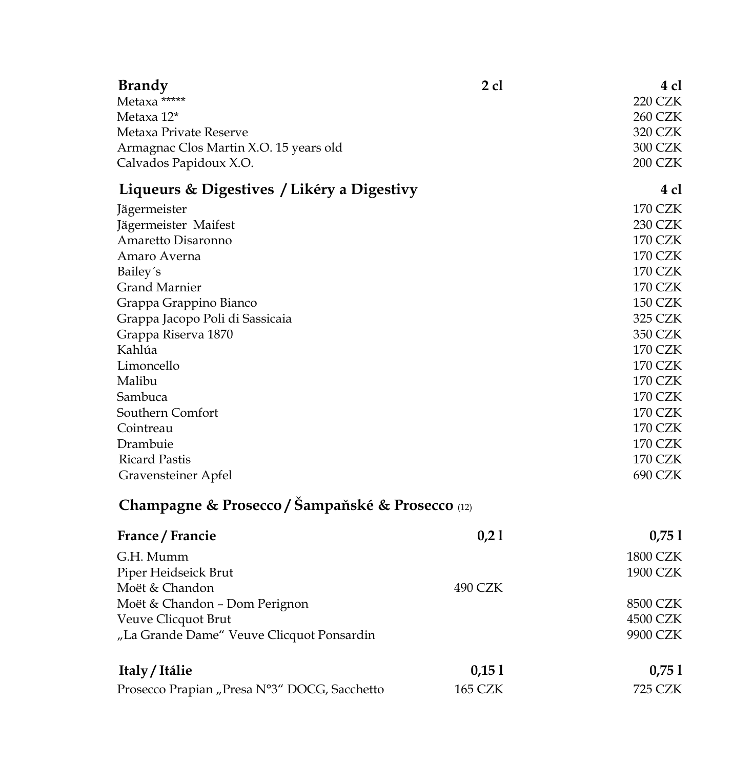| <b>Brandy</b>                                    | $2$ cl         | 4 cl            |
|--------------------------------------------------|----------------|-----------------|
| Metaxa *****                                     |                | <b>220 CZK</b>  |
| Metaxa 12*                                       |                | <b>260 CZK</b>  |
| Metaxa Private Reserve                           |                | 320 CZK         |
| Armagnac Clos Martin X.O. 15 years old           |                | 300 CZK         |
| Calvados Papidoux X.O.                           |                | 200 CZK         |
| Liqueurs & Digestives / Likéry a Digestivy       |                | 4 cl            |
| Jägermeister                                     |                | <b>170 CZK</b>  |
| Jägermeister Maifest                             |                | <b>230 CZK</b>  |
| Amaretto Disaronno                               |                | <b>170 CZK</b>  |
| Amaro Averna                                     |                | <b>170 CZK</b>  |
| Bailey's                                         |                | <b>170 CZK</b>  |
| <b>Grand Marnier</b>                             |                | <b>170 CZK</b>  |
| Grappa Grappino Bianco                           |                | <b>150 CZK</b>  |
| Grappa Jacopo Poli di Sassicaia                  |                | 325 CZK         |
| Grappa Riserva 1870                              |                | 350 CZK         |
| Kahlúa                                           |                | <b>170 CZK</b>  |
| Limoncello                                       |                | <b>170 CZK</b>  |
| Malibu                                           |                | <b>170 CZK</b>  |
| Sambuca                                          |                | <b>170 CZK</b>  |
| Southern Comfort                                 |                | <b>170 CZK</b>  |
| Cointreau                                        |                | <b>170 CZK</b>  |
| Drambuie                                         |                | <b>170 CZK</b>  |
| <b>Ricard Pastis</b>                             |                | <b>170 CZK</b>  |
| Gravensteiner Apfel                              |                | 690 CZK         |
| Champagne & Prosecco / Šampaňské & Prosecco (12) |                |                 |
| France / Francie                                 | 0,21           | 0,751           |
| G.H. Mumm                                        |                | <b>1800 CZK</b> |
| Piper Heidseick Brut                             |                | 1900 CZK        |
| Moët & Chandon                                   | 490 CZK        |                 |
| Moët & Chandon - Dom Perignon                    |                | 8500 CZK        |
| Veuve Clicquot Brut                              |                | 4500 CZK        |
| "La Grande Dame" Veuve Clicquot Ponsardin        |                | 9900 CZK        |
|                                                  |                |                 |
| Italy / Itálie                                   | 0,151          | 0,751           |
| Prosecco Prapian "Presa N°3" DOCG, Sacchetto     | <b>165 CZK</b> | <b>725 CZK</b>  |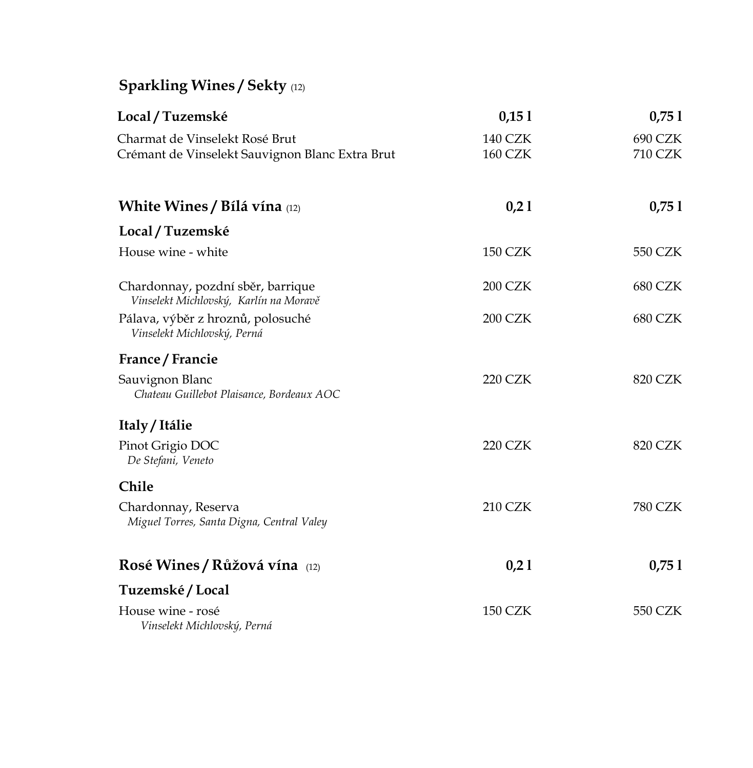## **Sparkling Wines / Sekty** (12)

| Local / Tuzemské                                                                  | 0,151                            | 0,751              |
|-----------------------------------------------------------------------------------|----------------------------------|--------------------|
| Charmat de Vinselekt Rosé Brut<br>Crémant de Vinselekt Sauvignon Blanc Extra Brut | <b>140 CZK</b><br><b>160 CZK</b> | 690 CZK<br>710 CZK |
| <b>White Wines / Bílá vína</b> (12)                                               | 0,21                             | 0,751              |
| Local / Tuzemské                                                                  |                                  |                    |
| House wine - white                                                                | <b>150 CZK</b>                   | 550 CZK            |
| Chardonnay, pozdní sběr, barrique<br>Vinselekt Michlovský, Karlín na Moravě       | <b>200 CZK</b>                   | 680 CZK            |
| Pálava, výběr z hroznů, polosuché<br>Vinselekt Michlovský, Perná                  | <b>200 CZK</b>                   | <b>680 CZK</b>     |
| France / Francie                                                                  |                                  |                    |
| Sauvignon Blanc<br>Chateau Guillebot Plaisance, Bordeaux AOC                      | 220 CZK                          | 820 CZK            |
| Italy / Itálie                                                                    |                                  |                    |
| Pinot Grigio DOC<br>De Stefani, Veneto                                            | <b>220 CZK</b>                   | 820 CZK            |
| Chile                                                                             |                                  |                    |
| Chardonnay, Reserva<br>Miguel Torres, Santa Digna, Central Valey                  | <b>210 CZK</b>                   | <b>780 CZK</b>     |
| Rosé Wines / Růžová vína (12)                                                     | 0,21                             | 0,751              |
| Tuzemské / Local                                                                  |                                  |                    |
| House wine - rosé<br>Vinselekt Michlovský, Perná                                  | 150 CZK                          | 550 CZK            |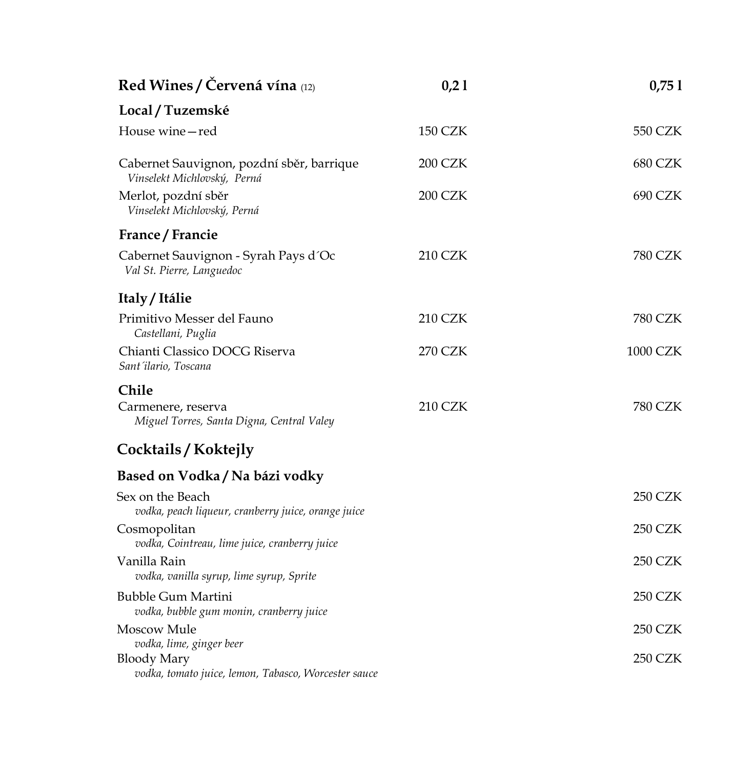| Red Wines / Červená vína (12)                                                                          | 0,21           | 0,751           |
|--------------------------------------------------------------------------------------------------------|----------------|-----------------|
| Local / Tuzemské                                                                                       |                |                 |
| House wine-red                                                                                         | <b>150 CZK</b> | 550 CZK         |
| Cabernet Sauvignon, pozdní sběr, barrique<br>Vinselekt Michlovský, Perná                               | <b>200 CZK</b> | <b>680 CZK</b>  |
| Merlot, pozdní sběr<br>Vinselekt Michlovský, Perná                                                     | <b>200 CZK</b> | 690 CZK         |
| France / Francie                                                                                       |                |                 |
| Cabernet Sauvignon - Syrah Pays d'Oc<br>Val St. Pierre, Languedoc                                      | <b>210 CZK</b> | 780 CZK         |
| Italy / Itálie                                                                                         |                |                 |
| Primitivo Messer del Fauno<br>Castellani, Puglia                                                       | <b>210 CZK</b> | 780 CZK         |
| Chianti Classico DOCG Riserva<br>Sant'ilario, Toscana                                                  | <b>270 CZK</b> | <b>1000 CZK</b> |
| Chile                                                                                                  |                |                 |
| Carmenere, reserva<br>Miguel Torres, Santa Digna, Central Valey                                        | <b>210 CZK</b> | 780 CZK         |
| Cocktails / Koktejly                                                                                   |                |                 |
| Based on Vodka / Na bázi vodky                                                                         |                |                 |
| Sex on the Beach<br>vodka, peach liqueur, cranberry juice, orange juice                                |                | <b>250 CZK</b>  |
| Cosmopolitan<br>vodka, Cointreau, lime juice, cranberry juice                                          |                | <b>250 CZK</b>  |
| Vanilla Rain<br>vodka, vanilla syrup, lime syrup, Sprite                                               |                | <b>250 CZK</b>  |
| <b>Bubble Gum Martini</b><br>vodka, bubble gum monin, cranberry juice                                  |                | 250 CZK         |
| Moscow Mule                                                                                            |                | <b>250 CZK</b>  |
| vodka, lime, ginger beer<br><b>Bloody Mary</b><br>vodka, tomato juice, lemon, Tabasco, Worcester sauce |                | 250 CZK         |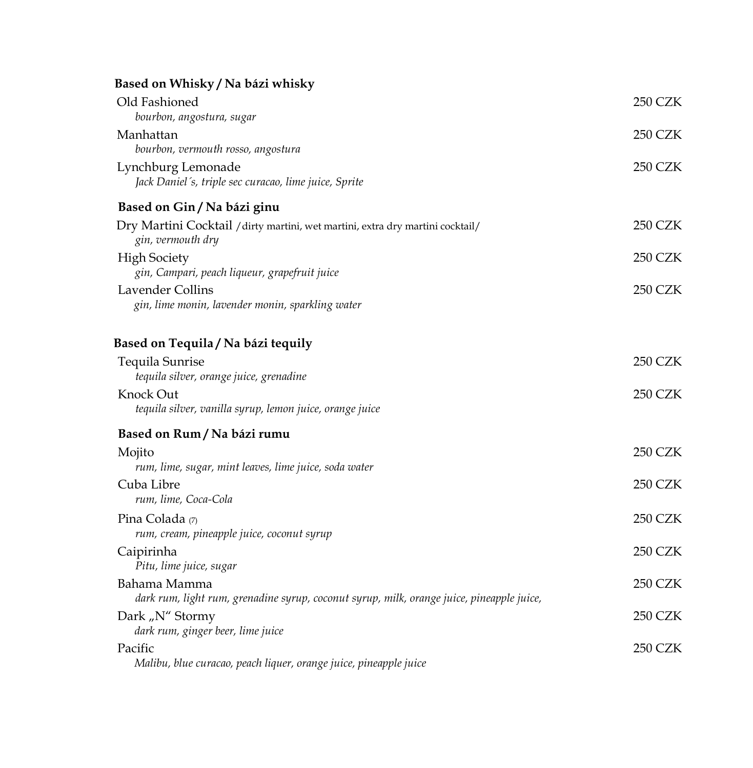## **Based on Whisky / Na bázi whisky**

| Old Fashioned<br>bourbon, angostura, sugar                                                                        | <b>250 CZK</b> |
|-------------------------------------------------------------------------------------------------------------------|----------------|
| Manhattan                                                                                                         | <b>250 CZK</b> |
| bourbon, vermouth rosso, angostura<br>Lynchburg Lemonade<br>Jack Daniel's, triple sec curacao, lime juice, Sprite | <b>250 CZK</b> |
| Based on Gin / Na bázi ginu                                                                                       |                |
| Dry Martini Cocktail / dirty martini, wet martini, extra dry martini cocktail/<br>gin, vermouth dry               | <b>250 CZK</b> |
| <b>High Society</b><br>gin, Campari, peach liqueur, grapefruit juice                                              | 250 CZK        |
| <b>Lavender Collins</b><br>gin, lime monin, lavender monin, sparkling water                                       | <b>250 CZK</b> |
| Based on Tequila / Na bázi tequily                                                                                |                |
| Tequila Sunrise<br>tequila silver, orange juice, grenadine                                                        | <b>250 CZK</b> |
| Knock Out<br>tequila silver, vanilla syrup, lemon juice, orange juice                                             | <b>250 CZK</b> |
| Based on Rum / Na bázi rumu                                                                                       |                |
| Mojito<br>rum, lime, sugar, mint leaves, lime juice, soda water                                                   | <b>250 CZK</b> |
| Cuba Libre<br>rum, lime, Coca-Cola                                                                                | <b>250 CZK</b> |
| Pina Colada (7)<br>rum, cream, pineapple juice, coconut syrup                                                     | 250 CZK        |
| Caipirinha<br>Pitu, lime juice, sugar                                                                             | 250 CZK        |
| Bahama Mamma<br>dark rum, light rum, grenadine syrup, coconut syrup, milk, orange juice, pineapple juice,         | <b>250 CZK</b> |
| Dark "N" Stormy<br>dark rum, ginger beer, lime juice                                                              | <b>250 CZK</b> |
| Pacific<br>Malibu, blue curacao, peach liquer, orange juice, pineapple juice                                      | <b>250 CZK</b> |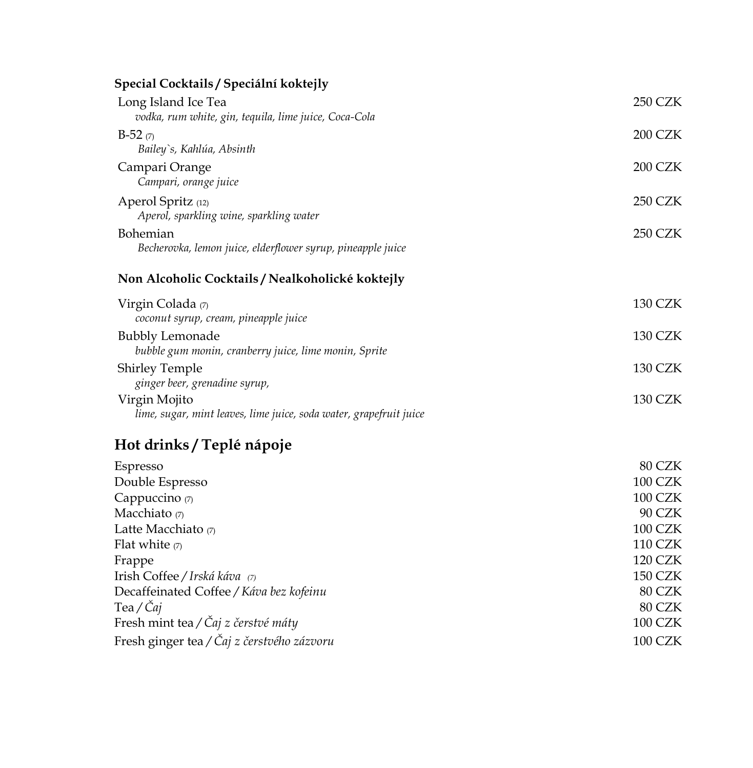## **Special Cocktails / Speciální koktejly**

| Long Island Ice Tea                                                                 | <b>250 CZK</b> |
|-------------------------------------------------------------------------------------|----------------|
| vodka, rum white, gin, tequila, lime juice, Coca-Cola                               | 200 CZK        |
| $B-52(7)$<br>Bailey's, Kahlúa, Absinth                                              |                |
| Campari Orange<br>Campari, orange juice                                             | <b>200 CZK</b> |
| Aperol Spritz (12)<br>Aperol, sparkling wine, sparkling water                       | <b>250 CZK</b> |
| Bohemian<br>Becherovka, lemon juice, elderflower syrup, pineapple juice             | <b>250 CZK</b> |
| Non Alcoholic Cocktails / Nealkoholické koktejly                                    |                |
| Virgin Colada (7)<br>coconut syrup, cream, pineapple juice                          | <b>130 CZK</b> |
| <b>Bubbly Lemonade</b><br>bubble gum monin, cranberry juice, lime monin, Sprite     | <b>130 CZK</b> |
| <b>Shirley Temple</b><br>ginger beer, grenadine syrup,                              | <b>130 CZK</b> |
| Virgin Mojito<br>lime, sugar, mint leaves, lime juice, soda water, grapefruit juice | <b>130 CZK</b> |
| Hot drinks / Teplé nápoje                                                           |                |
| Espresso                                                                            | 80 CZK         |
| Double Espresso                                                                     | <b>100 CZK</b> |
| Cappuccino (7)                                                                      | 100 CZK        |
| Macchiato (7)                                                                       | 90 CZK         |
| Latte Macchiato (7)                                                                 | 100 CZK        |
| Flat white $(7)$                                                                    | <b>110 CZK</b> |
| Frappe                                                                              | <b>120 CZK</b> |
| Irish Coffee / Irská káva (7)                                                       | <b>150 CZK</b> |
| Decaffeinated Coffee / Káva bez kofeinu                                             | 80 CZK         |
| Tea / Čaj                                                                           | 80 CZK         |
| Fresh mint tea / Čaj z čerstvé máty                                                 | <b>100 CZK</b> |

Fresh ginger tea */ Čaj z čerstvého zázvoru* 100 CZK